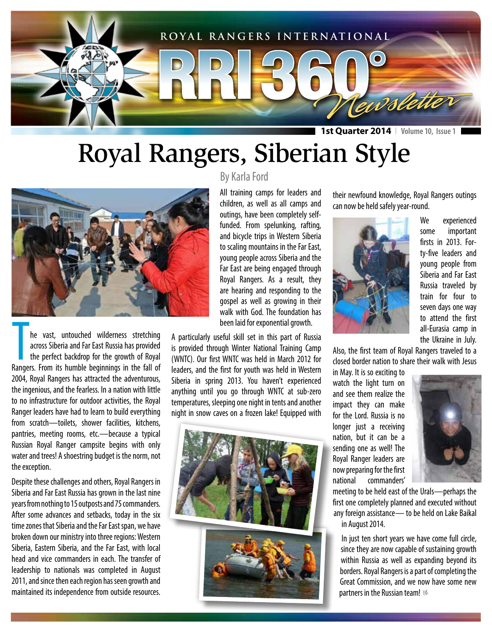

## Royal Rangers, Siberian Style



The vast, untouched wilderness stretching<br>across Siberia and Far East Russia has provided<br>the perfect backdrop for the growth of Royal<br>Rangers. From its humble beginnings in the fall of he vast, untouched wilderness stretching across Siberia and Far East Russia has provided the perfect backdrop for the growth of Royal 2004, Royal Rangers has attracted the adventurous, the ingenious, and the fearless. In a nation with little to no infrastructure for outdoor activities, the Royal Ranger leaders have had to learn to build everything from scratch—toilets, shower facilities, kitchens, pantries, meeting rooms, etc.—because a typical Russian Royal Ranger campsite begins with only water and trees! A shoestring budget is the norm, not the exception.

Despite these challenges and others, Royal Rangers in Siberia and Far East Russia has grown in the last nine years from nothing to 15 outposts and 75 commanders. After some advances and setbacks, today in the six time zones that Siberia and the Far East span, we have broken down our ministry into three regions: Western Siberia, Eastern Siberia, and the Far East, with local head and vice commanders in each. The transfer of leadership to nationals was completed in August 2011, and since then each region has seen growth and maintained its independence from outside resources.

#### By Karla Ford

All training camps for leaders and children, as well as all camps and outings, have been completely selffunded. From spelunking, rafting, and bicycle trips in Western Siberia to scaling mountains in the Far East, young people across Siberia and the Far East are being engaged through Royal Rangers. As a result, they are hearing and responding to the gospel as well as growing in their walk with God. The foundation has been laid for exponential growth.

A particularly useful skill set in this part of Russia is provided through Winter National Training Camp (WNTC). Our first WNTC was held in March 2012 for leaders, and the first for youth was held in Western Siberia in spring 2013. You haven't experienced anything until you go through WNTC at sub-zero temperatures, sleeping one night in tents and another night in snow caves on a frozen lake! Equipped with



their newfound knowledge, Royal Rangers outings can now be held safely year-round.



We experienced some important firsts in 2013. Forty-five leaders and young people from Siberia and Far East Russia traveled by train for four to seven days one way to attend the first all-Eurasia camp in the Ukraine in July.

Also, the first team of Royal Rangers traveled to a closed border nation to share their walk with Jesus

in May. It is so exciting to watch the light turn on and see them realize the impact they can make for the Lord. Russia is no longer just a receiving nation, but it can be a sending one as well! The Royal Ranger leaders are now preparing for the first national commanders'



meeting to be held east of the Urals—perhaps the first one completely planned and executed without any foreign assistance— to be held on Lake Baikal in August 2014.

In just ten short years we have come full circle, since they are now capable of sustaining growth within Russia as well as expanding beyond its borders. Royal Rangers is a part of completing the Great Commission, and we now have some new partners in the Russian team!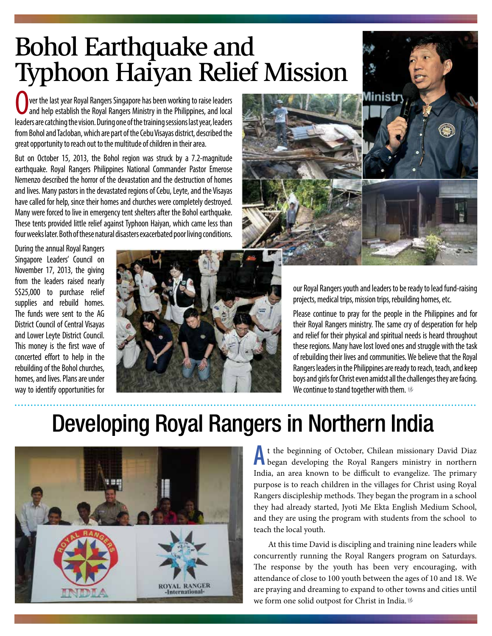## Bohol Earthquake and Typhoon Haiyan Relief Mission

**Or ver the last year Royal Rangers Singapore has been working to raise leaders** and help establish the Royal Rangers Ministry in the Philippines, and local leaders are catching the vision. During one of the training sessions last year, leaders from Bohol and Tacloban, which are part of the Cebu Visayas district, described the great opportunity to reach out to the multitude of children in their area.

But on October 15, 2013, the Bohol region was struck by a 7.2-magnitude earthquake. Royal Rangers Philippines National Commander Pastor Emerose Nemenzo described the horror of the devastation and the destruction of homes and lives. Many pastors in the devastated regions of Cebu, Leyte, and the Visayas have called for help, since their homes and churches were completely destroyed. Many were forced to live in emergency tent shelters after the Bohol earthquake. These tents provided little relief against Typhoon Haiyan, which came less than four weeks later. Both of these natural disasters exacerbated poor living conditions.

During the annual Royal Rangers Singapore Leaders' Council on November 17, 2013, the giving from the leaders raised nearly S\$25,000 to purchase relief supplies and rebuild homes. The funds were sent to the AG District Council of Central Visayas and Lower Leyte District Council. This money is the first wave of concerted effort to help in the rebuilding of the Bohol churches, homes, and lives. Plans are under way to identify opportunities for





our Royal Rangers youth and leaders to be ready to lead fund-raising projects, medical trips, mission trips, rebuilding homes, etc.

Please continue to pray for the people in the Philippines and for their Royal Rangers ministry. The same cry of desperation for help and relief for their physical and spiritual needs is heard throughout these regions. Many have lost loved ones and struggle with the task of rebuilding their lives and communities. We believe that the Royal Rangers leaders in the Philippines are ready to reach, teach, and keep boys and girls for Christ even amidst all the challenges they are facing. We continue to stand together with them.  $\mathcal V$ 

#### Developing Royal Rangers in Northern India



**A**t the beginning of October, Chilean missionary David Diaz began developing the Royal Rangers ministry in northern India, an area known to be difficult to evangelize. The primary purpose is to reach children in the villages for Christ using Royal Rangers discipleship methods. They began the program in a school they had already started, Jyoti Me Ekta English Medium School, and they are using the program with students from the school to teach the local youth.

At this time David is discipling and training nine leaders while concurrently running the Royal Rangers program on Saturdays. The response by the youth has been very encouraging, with attendance of close to 100 youth between the ages of 10 and 18. We are praying and dreaming to expand to other towns and cities until we form one solid outpost for Christ in India.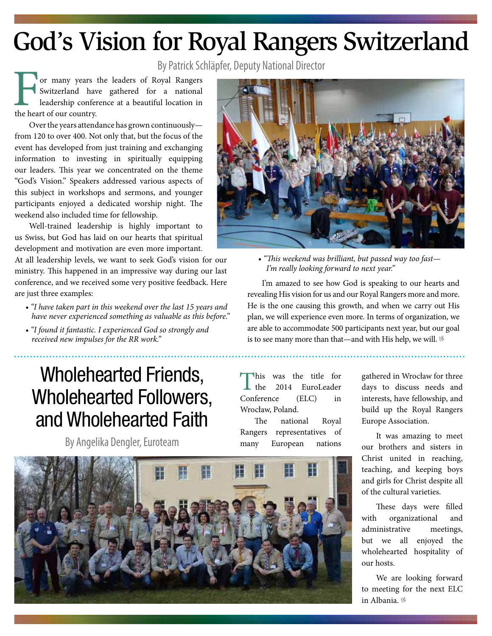# God's Vision for Royal Rangers Switzerland

By Patrick Schläpfer, Deputy National Director

**For many years the leaders of Royal Rangers** Switzerland have gathered for a national leadership conference at a beautiful location in the heart of our country.

Over the years attendance has grown continuously from 120 to over 400. Not only that, but the focus of the event has developed from just training and exchanging information to investing in spiritually equipping our leaders. This year we concentrated on the theme "God's Vision." Speakers addressed various aspects of this subject in workshops and sermons, and younger participants enjoyed a dedicated worship night. The weekend also included time for fellowship.

Well-trained leadership is highly important to us Swiss, but God has laid on our hearts that spiritual development and motivation are even more important.

At all leadership levels, we want to seek God's vision for our ministry. This happened in an impressive way during our last conference, and we received some very positive feedback. Here are just three examples:

- *"I have taken part in this weekend over the last 15 years and have never experienced something as valuable as this before."*
- *"I found it fantastic. I experienced God so strongly and received new impulses for the RR work."*

#### Wholehearted Friends, Wholehearted Followers, and Wholehearted Faith

By Angelika Dengler, Euroteam



*• "This weekend was brilliant, but passed way too fast— I'm really looking forward to next year."*

I'm amazed to see how God is speaking to our hearts and revealing His vision for us and our Royal Rangers more and more. He is the one causing this growth, and when we carry out His plan, we will experience even more. In terms of organization, we are able to accommodate 500 participants next year, but our goal is to see many more than that—and with His help, we will.  $\mathscr V$ 

**This was the title for<br>the 2014 EuroLeader<br>nference (ELC) in** 2014 EuroLeader Conference Wrocław, Poland.

The national Royal Rangers representatives of many European nations



It was amazing to meet our brothers and sisters in Christ united in reaching, teaching, and keeping boys and girls for Christ despite all of the cultural varieties.

These days were filled with organizational and administrative meetings, but we all enjoyed the wholehearted hospitality of our hosts.

We are looking forward to meeting for the next ELC in Albania.